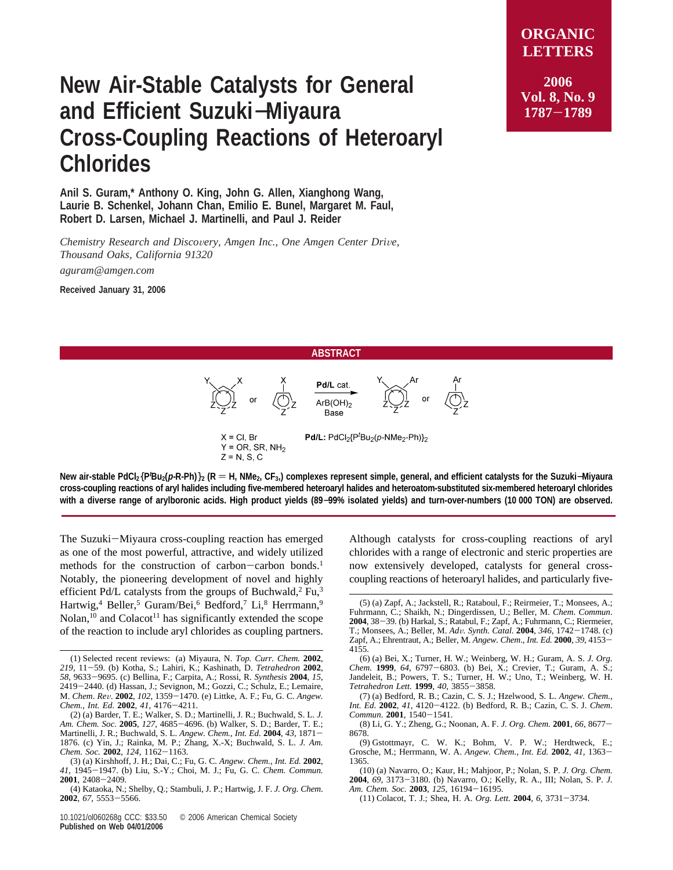## **New Air-Stable Catalysts for General and Efficient Suzuki**−**Miyaura Cross-Coupling Reactions of Heteroaryl Chlorides**

**Anil S. Guram,\* Anthony O. King, John G. Allen, Xianghong Wang, Laurie B. Schenkel, Johann Chan, Emilio E. Bunel, Margaret M. Faul, Robert D. Larsen, Michael J. Martinelli, and Paul J. Reider**

*Chemistry Research and Disco*V*ery, Amgen Inc., One Amgen Center Dri*V*e, Thousand Oaks, California 91320 aguram@amgen.com*

**Received January 31, 2006**

## **ORGANIC LETTERS**

**2006 Vol. 8, No. 9 <sup>1787</sup>**-**<sup>1789</sup>**

## **ABSTRACT**



**New air-stable PdCl2**{**P<sup>t</sup> Bu2(p-R-Ph)**}**<sup>2</sup> (R** ) **H, NMe2, CF3,) complexes represent simple, general, and efficient catalysts for the Suzuki**−**Miyaura cross-coupling reactions of aryl halides including five-membered heteroaryl halides and heteroatom-substituted six-membered heteroaryl chlorides with a diverse range of arylboronic acids. High product yields (89**−**99% isolated yields) and turn-over-numbers (10 000 TON) are observed.**

The Suzuki-Miyaura cross-coupling reaction has emerged as one of the most powerful, attractive, and widely utilized methods for the construction of carbon-carbon bonds.<sup>1</sup> Notably, the pioneering development of novel and highly efficient Pd/L catalysts from the groups of Buchwald,<sup>2</sup> Fu,<sup>3</sup> Hartwig,<sup>4</sup> Beller,<sup>5</sup> Guram/Bei,<sup>6</sup> Bedford,<sup>7</sup> Li,<sup>8</sup> Herrmann,<sup>9</sup>  $Nolan<sub>10</sub>$  and Colacot<sup>11</sup> has significantly extended the scope of the reaction to include aryl chlorides as coupling partners.

10.1021/ol060268g CCC: \$33.50 © 2006 American Chemical Society **Published on Web 04/01/2006**

Although catalysts for cross-coupling reactions of aryl chlorides with a range of electronic and steric properties are now extensively developed, catalysts for general crosscoupling reactions of heteroaryl halides, and particularly five-

(8) Li, G. Y.; Zheng, G.; Noonan, A. F. *J. Org. Chem.* **<sup>2001</sup>**, *<sup>66</sup>*, 8677- 8678.

(9) Gstottmayr, C. W. K.; Bohm, V. P. W.; Herdtweck, E.; Grosche, M.; Herrmann, W. A. *Angew. Chem., Int. Ed.* **<sup>2002</sup>**, *<sup>41</sup>*, 1363- 1365.

(10) (a) Navarro, O.; Kaur, H.; Mahjoor, P.; Nolan, S. P. *J. Org. Chem.* **<sup>2004</sup>**, *<sup>69</sup>*, 3173-3180. (b) Navarro, O.; Kelly, R. A., III; Nolan, S. P. *J. Am. Chem. Soc.* **<sup>2003</sup>**, *<sup>125</sup>*, 16194-16195.

(11) Colacot, T. J.; Shea, H. A. *Org. Lett.* **<sup>2004</sup>**, *<sup>6</sup>*, 3731-3734.

<sup>(1)</sup> Selected recent reviews: (a) Miyaura, N. *Top. Curr. Chem.* **2002**, *<sup>219</sup>*, 11-59. (b) Kotha, S.; Lahiri, K.; Kashinath, D. *Tetrahedron* **<sup>2002</sup>**, *<sup>58</sup>*, 9633-9695. (c) Bellina, F.; Carpita, A.; Rossi, R. *Synthesis* **<sup>2004</sup>**, *<sup>15</sup>*, <sup>2419</sup>-2440. (d) Hassan, J.; Sevignon, M.; Gozzi, C.; Schulz, E.; Lemaire, M. *Chem*. *Re*V. **<sup>2002</sup>**, *<sup>102</sup>*, 1359-1470. (e) Littke, A. F.; Fu, G. C. *Angew. Chem., Int. Ed*. **<sup>2002</sup>**, *<sup>41</sup>*, 4176-4211.

<sup>(2) (</sup>a) Barder, T. E.; Walker, S. D.; Martinelli, J. R.; Buchwald, S. L. *J. Am. Chem. Soc.* **<sup>2005</sup>**, *<sup>127</sup>*, 4685-4696. (b) Walker, S. D.; Barder, T. E.; Martinelli, J. R.; Buchwald, S. L. *Angew. Chem., Int. Ed.* **<sup>2004</sup>**, *<sup>43</sup>*, 1871- 1876. (c) Yin, J.; Rainka, M. P.; Zhang, X.-X; Buchwald, S. L. *J. Am. Chem. Soc.* **<sup>2002</sup>**, *<sup>124</sup>*, 1162-1163.

<sup>(3) (</sup>a) Kirshhoff, J. H.; Dai, C.; Fu, G. C. *Angew. Chem., Int. Ed.* **2002**, *<sup>41</sup>*, 1945-1947. (b) Liu, S.-Y.; Choi, M. J.; Fu, G. C. *Chem. Commun.* **<sup>2001</sup>**, 2408-2409.

<sup>(4)</sup> Kataoka, N.; Shelby, Q.; Stambuli, J. P.; Hartwig, J. F. *J. Org. Chem*. **<sup>2002</sup>**, *<sup>67</sup>*, 5553-5566.

<sup>(5) (</sup>a) Zapf, A.; Jackstell, R.; Rataboul, F.; Reirmeier, T.; Monsees, A.; Fuhrmann, C.; Shaikh, N.; Dingerdissen, U.; Beller, M. *Chem*. *Commun*. **<sup>2004</sup>**, 38-39. (b) Harkal, S.; Ratabul, F.; Zapf, A.; Fuhrmann, C.; Riermeier, T.; Monsees, A.; Beller, M. *Ad*V*. Synth. Catal.* **<sup>2004</sup>**, *<sup>346</sup>*, 1742-1748. (c) Zapf, A.; Ehrentraut, A.; Beller, M. *Angew. Chem*., *Int. Ed.* **<sup>2000</sup>**, *<sup>39</sup>*, 4153- 4155.

<sup>(6) (</sup>a) Bei, X.; Turner, H. W.; Weinberg, W. H.; Guram, A. S. *J. Org. Chem.* **<sup>1999</sup>**, *<sup>64</sup>*, 6797-6803. (b) Bei, X.; Crevier, T.; Guram, A. S.; Jandeleit, B.; Powers, T. S.; Turner, H. W.; Uno, T.; Weinberg, W. H. *Tetrahedron Lett.* **<sup>1999</sup>**, *<sup>40</sup>*, 3855-3858.

<sup>(7) (</sup>a) Bedford, R. B.; Cazin, C. S. J.; Hzelwood, S. L. *Angew. Chem., Int. Ed*. **<sup>2002</sup>**, *<sup>41</sup>*, 4120-4122. (b) Bedford, R. B.; Cazin, C. S. J. *Chem*. *Commun*. **<sup>2001</sup>**, 1540-1541.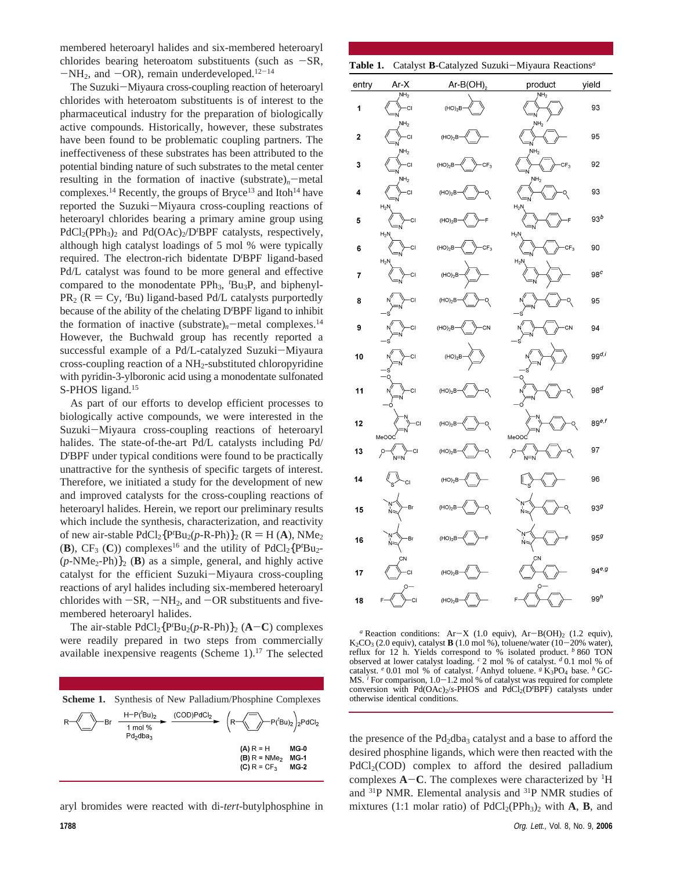membered heteroaryl halides and six-membered heteroaryl chlorides bearing heteroatom substituents (such as  $-SR$ ,  $-NH_2$ , and  $-OR$ ), remain underdeveloped.<sup>12-14</sup>

The Suzuki-Miyaura cross-coupling reaction of heteroaryl chlorides with heteroatom substituents is of interest to the pharmaceutical industry for the preparation of biologically active compounds. Historically, however, these substrates have been found to be problematic coupling partners. The ineffectiveness of these substrates has been attributed to the potential binding nature of such substrates to the metal center resulting in the formation of inactive (substrate)<sub>n</sub>-metal complexes.<sup>14</sup> Recently, the groups of Bryce<sup>13</sup> and Itoh<sup>14</sup> have reported the Suzuki-Miyaura cross-coupling reactions of heteroaryl chlorides bearing a primary amine group using PdCl<sub>2</sub>(PPh<sub>3</sub>)<sub>2</sub> and Pd(OAc)<sub>2</sub>/D<sup>*I*</sup>BPF catalysts, respectively, although high catalyst loadings of 5 mol % were typically required. The electron-rich bidentate D*<sup>t</sup>* BPF ligand-based Pd/L catalyst was found to be more general and effective compared to the monodentate PPh<sub>3</sub>, 'Bu<sub>3</sub>P, and biphenyl- $PR_2$  ( $R = Cy$ ,  $'B$ u) ligand-based Pd/L catalysts purportedly<br>because of the shility of the chelating D'BPE ligand to inhibit because of the ability of the chelating D*<sup>t</sup>* BPF ligand to inhibit the formation of inactive (substrate)<sub>n</sub>-metal complexes.<sup>14</sup> However, the Buchwald group has recently reported a successful example of a Pd/L-catalyzed Suzuki-Miyaura cross-coupling reaction of a NH2-substituted chloropyridine with pyridin-3-ylboronic acid using a monodentate sulfonated S-PHOS ligand.<sup>15</sup>

As part of our efforts to develop efficient processes to biologically active compounds, we were interested in the Suzuki-Miyaura cross-coupling reactions of heteroaryl halides. The state-of-the-art Pd/L catalysts including Pd/ D*t* BPF under typical conditions were found to be practically unattractive for the synthesis of specific targets of interest. Therefore, we initiated a study for the development of new and improved catalysts for the cross-coupling reactions of heteroaryl halides. Herein, we report our preliminary results which include the synthesis, characterization, and reactivity of new air-stable  $PdCl_2\{P'Bu_2(p-R-Ph)\}_2$  ( $R = H(A)$ ,  $NMe_2$ <br>(**B**)  $CF_2(G)$ ) complexes<sup>16</sup> and the utility of  $PdCl_2P/Ru_2$ (**B**),  $CF_3$  (**C**)) complexes<sup>16</sup> and the utility of  $PdCl_2\{P'Bu_2 - Pc \}$  $(p\text{-}NMe_2\text{-}Ph)$ <sub>2</sub> (**B**) as a simple, general, and highly active catalyst for the efficient Suzuki-Miyaura cross-coupling reactions of aryl halides including six-membered heteroaryl chlorides with  $-SR$ ,  $-NH_2$ , and  $-OR$  substituents and fivemembered heteroaryl halides.

The air-stable  $PdCl_2\{P'Bu_2(p-R-Ph)\}_2$  (**A**-**C**) complexes were readily prepared in two steps from commercially available inexpensive reagents (Scheme  $1$ ).<sup>17</sup> The selected



aryl bromides were reacted with di-*tert*-butylphosphine in

**Table 1.** Catalyst **<sup>B</sup>**-Catalyzed Suzuki-Miyaura Reactions*<sup>a</sup>*

| entry | Ar-X                                  | $Ar-B(OH)_{2}$                         | product                            | yield           |
|-------|---------------------------------------|----------------------------------------|------------------------------------|-----------------|
| 1     | NH <sub>2</sub><br>CI                 | $(HO)_2B$                              | NH <sub>2</sub>                    | 93              |
| 2     | NH <sub>2</sub><br>·CI                | $(HO)_2B$                              | NH <sub>2</sub>                    | 95              |
| 3     | NH <sub>2</sub><br>сı                 | (HO) <sub>2</sub> B<br>CF <sub>3</sub> | NH <sub>2</sub><br>CF <sub>3</sub> | 92              |
| 4     | NH,<br>СI                             | $(HO)_2B$<br>୍                         | NH <sub>2</sub><br>Q               | 93              |
| 5     | $H_{2}$<br>Ю                          | $(HO)_2B$                              |                                    | 93 <sup>b</sup> |
| 6     | $H_2$<br>CI                           | (HO) <sub>2</sub> B<br>CF <sub>3</sub> | $H_2N$<br>CF <sub>3</sub>          | 90              |
| 7     | $H_2N$<br><b>CI</b>                   | $(HO)_2B$                              | $H_2$ N                            | 98 <sup>c</sup> |
| 8     | N"<br>)<br>$\cdot$ CI                 | $(HO)_2B$<br>۰Q                        | Ņ<br>৹                             | 95              |
| 9     | CI<br>Ņ                               | $(HO)_2B$<br>CN                        | CN<br>Ņ                            | 94              |
| 10    | <b>CI</b><br>N                        | Į<br>$(HO)_2B$                         |                                    | $99^{d,i}$      |
| 11    | Ŋ<br>-cı                              | (HO) <sub>2</sub> B<br>Ó               | ΝÝ<br>ò                            | $98^d$          |
| 12    | CI                                    | Q<br>(HO) <sub>2</sub> B               | Q                                  | $89^{e,f}$      |
| 13    | MeOOC<br>ò<br>-CI                     | -Q<br>(HO) <sub>2</sub> B              | MeOOC<br>ò.<br>Q                   | 97              |
| 14    | $\stackrel{\mathcal{U}}{\leq}$<br>°CI | $(HO)_2B$                              |                                    | 96              |
| 15    | $\frac{1}{N-1}$<br>-Br                | -Q<br>$(HO)_2B$                        | 'N<br>N<br>q                       | 93 <sup>g</sup> |
| 16    | $\frac{1}{2}$<br>Br                   | -F<br>$(HO)_2B$                        | 'N<br>N<br>F                       | 95 <sup>g</sup> |
| 17    | <b>CI</b>                             | $(HO)_2B$                              | CΝ                                 | $94^{e,g}$      |
| 18    | ∱−сі<br>ł<br>F                        | $(HO)_2B$                              | ∖<br>F                             | 99 <sup>h</sup> |

*a* Reaction conditions:  $Ar-X$  (1.0 equiv),  $Ar-B(OH)_2$  (1.2 equiv),  $K_2CO_3$  (2.0 equiv), catalyst **B** (1.0 mol %), toluene/water (10-20% water), reflux for 12 h. Yields correspond to % isolated product. *<sup>b</sup>* 860 TON observed at lower catalyst loading. *<sup>c</sup>* 2 mol % of catalyst. *<sup>d</sup>* 0.1 mol % of catalyst. *<sup>e</sup>* 0.01 mol % of catalyst. *<sup>f</sup>* Anhyd toluene. *<sup>g</sup>* K3PO4 base. *<sup>h</sup>* GC-MS. <sup>*i*</sup> For comparison, 1.0–1.2 mol % of catalyst was required for complete conversion with Pd(OAc)2/s-PHOS and PdCl<sub>2</sub>(D'BPF) catalysts under otherwise identical conditions.

the presence of the  $Pd_2dba_3$  catalyst and a base to afford the desired phosphine ligands, which were then reacted with the PdCl<sub>2</sub>(COD) complex to afford the desired palladium complexes  $\mathbf{A}-\mathbf{C}$ . The complexes were characterized by <sup>1</sup>H and <sup>31</sup>P NMP studies of and 31P NMR. Elemental analysis and 31P NMR studies of mixtures (1:1 molar ratio) of  $PdCl_2(PPh_3)_2$  with **A**, **B**, and